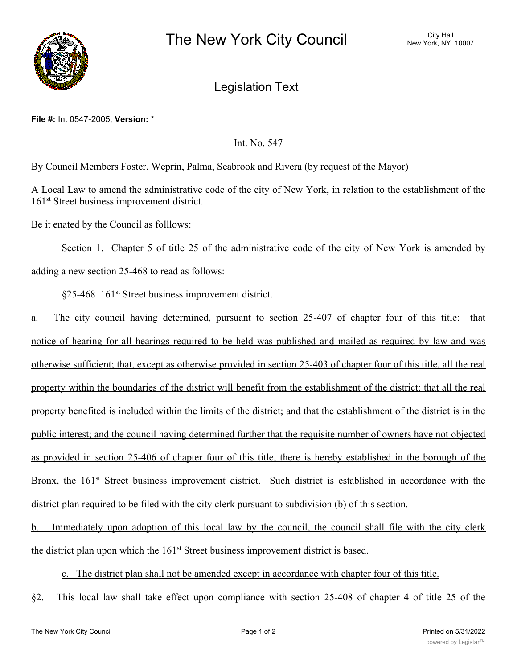

Legislation Text

#### **File #:** Int 0547-2005, **Version:** \*

Int. No. 547

By Council Members Foster, Weprin, Palma, Seabrook and Rivera (by request of the Mayor)

A Local Law to amend the administrative code of the city of New York, in relation to the establishment of the 161<sup>st</sup> Street business improvement district.

### Be it enated by the Council as folllows:

Section 1. Chapter 5 of title 25 of the administrative code of the city of New York is amended by adding a new section 25-468 to read as follows:

## $§25-468$  161<sup>st</sup> Street business improvement district.

a. The city council having determined, pursuant to section 25-407 of chapter four of this title: that notice of hearing for all hearings required to be held was published and mailed as required by law and was otherwise sufficient; that, except as otherwise provided in section 25-403 of chapter four of this title, all the real property within the boundaries of the district will benefit from the establishment of the district; that all the real property benefited is included within the limits of the district; and that the establishment of the district is in the public interest; and the council having determined further that the requisite number of owners have not objected as provided in section 25-406 of chapter four of this title, there is hereby established in the borough of the Bronx, the  $161<sup>st</sup>$  Street business improvement district. Such district is established in accordance with the district plan required to be filed with the city clerk pursuant to subdivision (b) of this section.

b. Immediately upon adoption of this local law by the council, the council shall file with the city clerk the district plan upon which the  $161^{\underline{st}}$  Street business improvement district is based.

#### c. The district plan shall not be amended except in accordance with chapter four of this title.

§2. This local law shall take effect upon compliance with section 25-408 of chapter 4 of title 25 of the